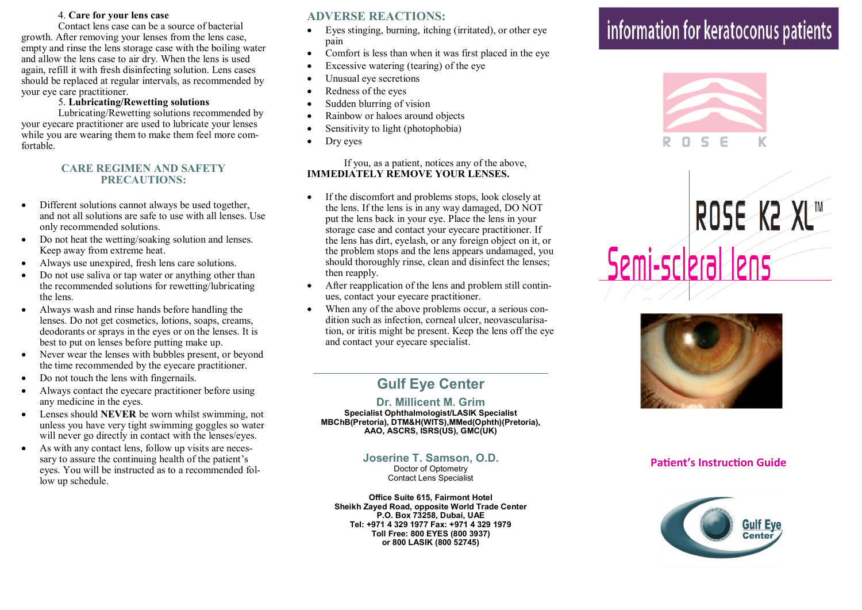### 4. **Care for your lens case**

Contact lens case can be a source of bacterial growth. After removing your lenses from the lens case, empty and rinse the lens storage case with the boiling water and allow the lens case to air dry. When the lens is used again, refill it with fresh disinfecting solution. Lens cases should be replaced at regular intervals, as recommended by your eye care practitioner.

#### 5. **Lubricating/Rewetting solutions**

Lubricating/Rewetting solutions recommended by your eyecare practitioner are used to lubricate your lenses while you are wearing them to make them feel more comfortable.

### **CARE REGIMEN AND SAFETY PRECAUTIONS:**

- Different solutions cannot always be used together, and not all solutions are safe to use with all lenses. Use only recommended solutions.
- Do not heat the wetting/soaking solution and lenses. Keep away from extreme heat.
- Always use unexpired, fresh lens care solutions.
- Do not use saliva or tap water or anything other than the recommended solutions for rewetting/lubricating the lens.
- Always wash and rinse hands before handling the lenses. Do not get cosmetics, lotions, soaps, creams, deodorants or sprays in the eyes or on the lenses. It is best to put on lenses before putting make up.
- Never wear the lenses with bubbles present, or beyond the time recommended by the eyecare practitioner.
- Do not touch the lens with fingernails.
- Always contact the eyecare practitioner before using any medicine in the eyes.
- Lenses should **NEVER** be worn whilst swimming, not unless you have very tight swimming goggles so water will never go directly in contact with the lenses/eyes.
- As with any contact lens, follow up visits are necessary to assure the continuing health of the patient's eyes. You will be instructed as to a recommended follow up schedule.

## **ADVERSE REACTIONS:**

- Eyes stinging, burning, itching (irritated), or other eye pain
- Comfort is less than when it was first placed in the eye
- Excessive watering (tearing) of the eye
- Unusual eye secretions
- Redness of the eyes
- Sudden blurring of vision
- Rainbow or haloes around objects
- Sensitivity to light (photophobia)
- Dry eyes

#### If you, as a patient, notices any of the above, **IMMEDIATELY REMOVE YOUR LENSES.**

- If the discomfort and problems stops, look closely at the lens. If the lens is in any way damaged, DO NOT put the lens back in your eye. Place the lens in your storage case and contact your eyecare practitioner. If the lens has dirt, eyelash, or any foreign object on it, or the problem stops and the lens appears undamaged, you should thoroughly rinse, clean and disinfect the lenses; then reapply.
- After reapplication of the lens and problem still continues, contact your eyecare practitioner.
- When any of the above problems occur, a serious condition such as infection, corneal ulcer, neovascularisation, or iritis might be present. Keep the lens off the eye and contact your eyecare specialist.

# **Gulf Eye Center**

## **Dr. Millicent M. Grim**

**Specialist Ophthalmologist/LASIK Specialist MBChB(Pretoria), DTM&H(WITS),MMed(Ophth)(Pretoria), AAO, ASCRS, ISRS(US), GMC(UK)**

> **Joserine T. Samson, O.D.** Doctor of Optometry

Contact Lens Specialist

**Office Suite 615, Fairmont Hotel Sheikh Zayed Road, opposite World Trade Center P.O. Box 73258, Dubai, UAE Tel: +971 4 329 1977 Fax: +971 4 329 1979 Toll Free: 800 EYES (800 3937) or 800 LASIK (800 52745)**

# information for keratoconus patients







## **Patient's Instruction Guide**